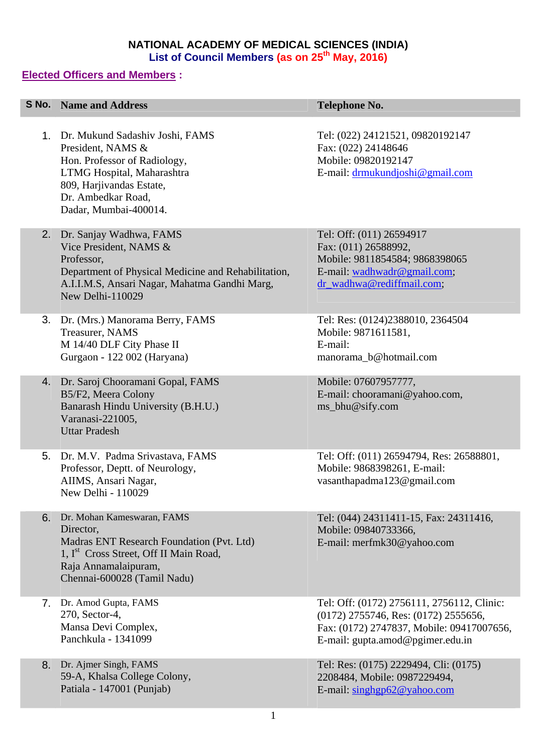## **NATIONAL ACADEMY OF MEDICAL SCIENCES (INDIA)**  List of Council Members (as on 25<sup>th</sup> May, 2016)

## **Elected Officers and Members :**

|    | <b>S No. Name and Address</b>                                                                                                                                                                     | <b>Telephone No.</b>                                                                                                                                                    |
|----|---------------------------------------------------------------------------------------------------------------------------------------------------------------------------------------------------|-------------------------------------------------------------------------------------------------------------------------------------------------------------------------|
|    |                                                                                                                                                                                                   |                                                                                                                                                                         |
|    | 1. Dr. Mukund Sadashiv Joshi, FAMS<br>President, NAMS &<br>Hon. Professor of Radiology,<br>LTMG Hospital, Maharashtra<br>809, Harjivandas Estate,<br>Dr. Ambedkar Road,<br>Dadar, Mumbai-400014.  | Tel: (022) 24121521, 09820192147<br>Fax: (022) 24148646<br>Mobile: 09820192147<br>E-mail: drmukundjoshi@gmail.com                                                       |
|    | 2. Dr. Sanjay Wadhwa, FAMS<br>Vice President, NAMS &<br>Professor,<br>Department of Physical Medicine and Rehabilitation,<br>A.I.I.M.S, Ansari Nagar, Mahatma Gandhi Marg,<br>New Delhi-110029    | Tel: Off: (011) 26594917<br>Fax: (011) 26588992,<br>Mobile: 9811854584; 9868398065<br>E-mail: wadhwadr@gmail.com;<br>dr_wadhwa@rediffmail.com;                          |
| 3. | Dr. (Mrs.) Manorama Berry, FAMS<br>Treasurer, NAMS<br>M 14/40 DLF City Phase II<br>Gurgaon - 122 002 (Haryana)                                                                                    | Tel: Res: (0124)2388010, 2364504<br>Mobile: 9871611581,<br>E-mail:<br>manorama_b@hotmail.com                                                                            |
|    | 4. Dr. Saroj Chooramani Gopal, FAMS<br>B5/F2, Meera Colony<br>Banarash Hindu University (B.H.U.)<br>Varanasi-221005,<br><b>Uttar Pradesh</b>                                                      | Mobile: 07607957777,<br>E-mail: chooramani@yahoo.com,<br>ms_bhu@sify.com                                                                                                |
| 5. | Dr. M.V. Padma Srivastava, FAMS<br>Professor, Deptt. of Neurology,<br>AIIMS, Ansari Nagar,<br>New Delhi - 110029                                                                                  | Tel: Off: (011) 26594794, Res: 26588801,<br>Mobile: 9868398261, E-mail:<br>vasanthapadma123@gmail.com                                                                   |
| 6. | Dr. Mohan Kameswaran, FAMS<br>Director,<br>Madras ENT Research Foundation (Pvt. Ltd)<br>1, I <sup>st</sup> Cross Street, Off II Main Road,<br>Raja Annamalaipuram,<br>Chennai-600028 (Tamil Nadu) | Tel: (044) 24311411-15, Fax: 24311416,<br>Mobile: 09840733366,<br>E-mail: merfmk30@yahoo.com                                                                            |
| 7. | Dr. Amod Gupta, FAMS<br>270, Sector-4,<br>Mansa Devi Complex,<br>Panchkula - 1341099                                                                                                              | Tel: Off: (0172) 2756111, 2756112, Clinic:<br>$(0172)$ 2755746, Res: $(0172)$ 2555656,<br>Fax: (0172) 2747837, Mobile: 09417007656,<br>E-mail: gupta.amod@pgimer.edu.in |
| 8. | Dr. Ajmer Singh, FAMS<br>59-A, Khalsa College Colony,<br>Patiala - 147001 (Punjab)                                                                                                                | Tel: Res: (0175) 2229494, Cli: (0175)<br>2208484, Mobile: 0987229494,<br>E-mail: singhgp62@yahoo.com                                                                    |